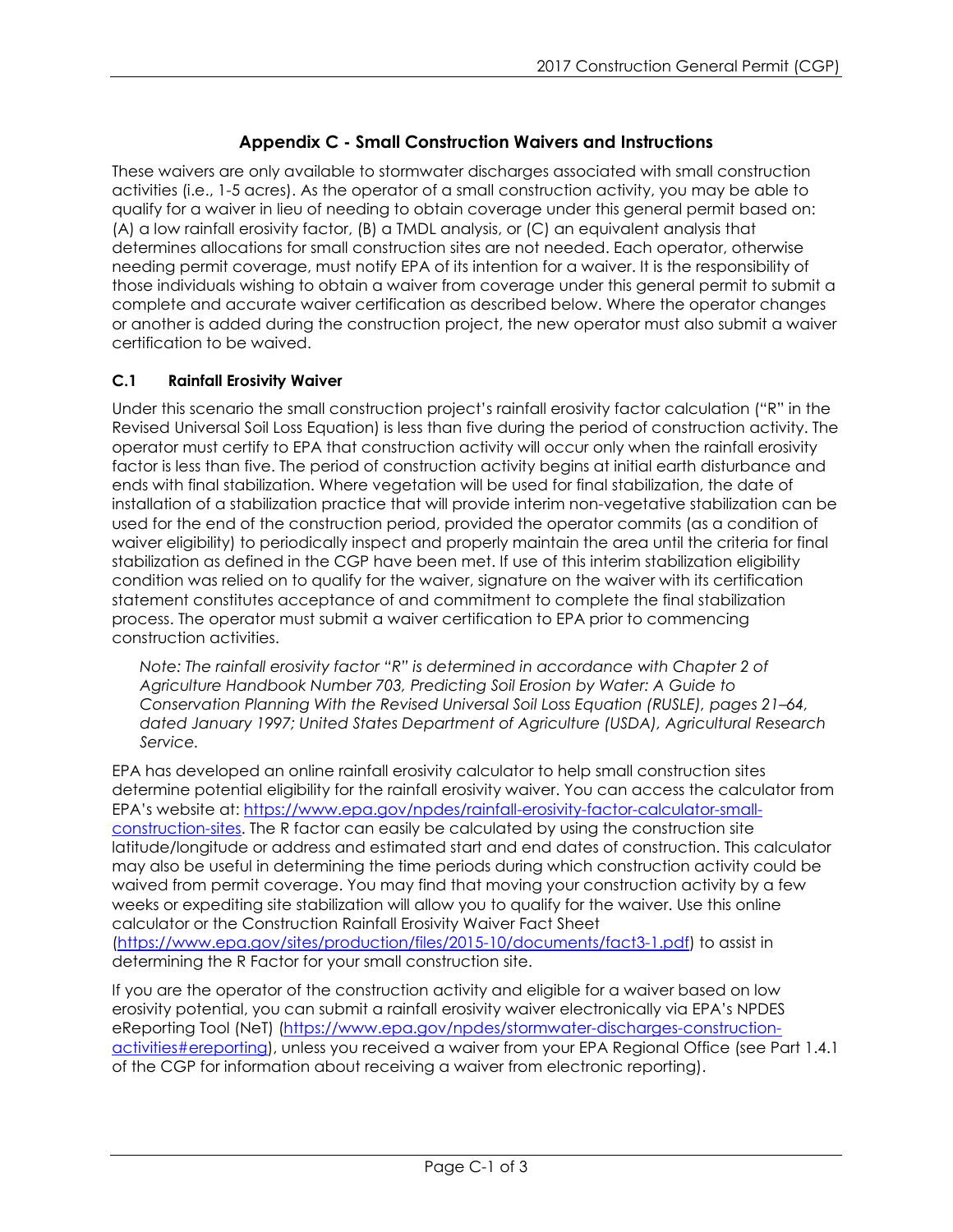# **Appendix C - Small Construction Waivers and Instructions**

These waivers are only available to stormwater discharges associated with small construction activities (i.e., 1-5 acres). As the operator of a small construction activity, you may be able to qualify for a waiver in lieu of needing to obtain coverage under this general permit based on: (A) a low rainfall erosivity factor, (B) a TMDL analysis, or (C) an equivalent analysis that determines allocations for small construction sites are not needed. Each operator, otherwise needing permit coverage, must notify EPA of its intention for a waiver. It is the responsibility of those individuals wishing to obtain a waiver from coverage under this general permit to submit a complete and accurate waiver certification as described below. Where the operator changes or another is added during the construction project, the new operator must also submit a waiver certification to be waived.

## **C.1 Rainfall Erosivity Waiver**

Under this scenario the small construction project's rainfall erosivity factor calculation ("R" in the Revised Universal Soil Loss Equation) is less than five during the period of construction activity. The operator must certify to EPA that construction activity will occur only when the rainfall erosivity factor is less than five. The period of construction activity begins at initial earth disturbance and ends with final stabilization. Where vegetation will be used for final stabilization, the date of installation of a stabilization practice that will provide interim non-vegetative stabilization can be used for the end of the construction period, provided the operator commits (as a condition of waiver eligibility) to periodically inspect and properly maintain the area until the criteria for final stabilization as defined in the CGP have been met. If use of this interim stabilization eligibility condition was relied on to qualify for the waiver, signature on the waiver with its certification statement constitutes acceptance of and commitment to complete the final stabilization process. The operator must submit a waiver certification to EPA prior to commencing construction activities.

*Note: The rainfall erosivity factor "R" is determined in accordance with Chapter 2 of Agriculture Handbook Number 703, Predicting Soil Erosion by Water: A Guide to Conservation Planning With the Revised Universal Soil Loss Equation (RUSLE), pages 21–64, dated January 1997; United States Department of Agriculture (USDA), Agricultural Research Service.* 

EPA has developed an online rainfall erosivity calculator to help small construction sites determine potential eligibility for the rainfall erosivity waiver. You can access the calculator from EPA's website at: [https://www.epa.gov/npdes/rainfall-erosivity-factor-calculator-small](https://www.epa.gov/npdes/rainfall-erosivity-factor-calculator-small-construction-sites)[construction-sites.](https://www.epa.gov/npdes/rainfall-erosivity-factor-calculator-small-construction-sites) The R factor can easily be calculated by using the construction site latitude/longitude or address and estimated start and end dates of construction. This calculator may also be useful in determining the time periods during which construction activity could be waived from permit coverage. You may find that moving your construction activity by a few weeks or expediting site stabilization will allow you to qualify for the waiver. Use this online calculator or the Construction Rainfall Erosivity Waiver Fact Sheet [\(https://www.epa.gov/sites/production/files/2015-10/documents/fact3-1.pdf\)](https://www.epa.gov/sites/production/files/2015-10/documents/fact3-1.pdf) to assist in determining the R Factor for your small construction site.

If you are the operator of the construction activity and eligible for a waiver based on low erosivity potential, you can submit a rainfall erosivity waiver electronically via EPA's NPDES eReporting Tool (NeT) [\(https://www.epa.gov/npdes/stormwater-discharges-construction](https://www.epa.gov/npdes/stormwater-discharges-construction-activities#ereporting)[activities#ereporting\)](https://www.epa.gov/npdes/stormwater-discharges-construction-activities#ereporting), unless you received a waiver from your EPA Regional Office (see Part 1.4.1 of the CGP for information about receiving a waiver from electronic reporting).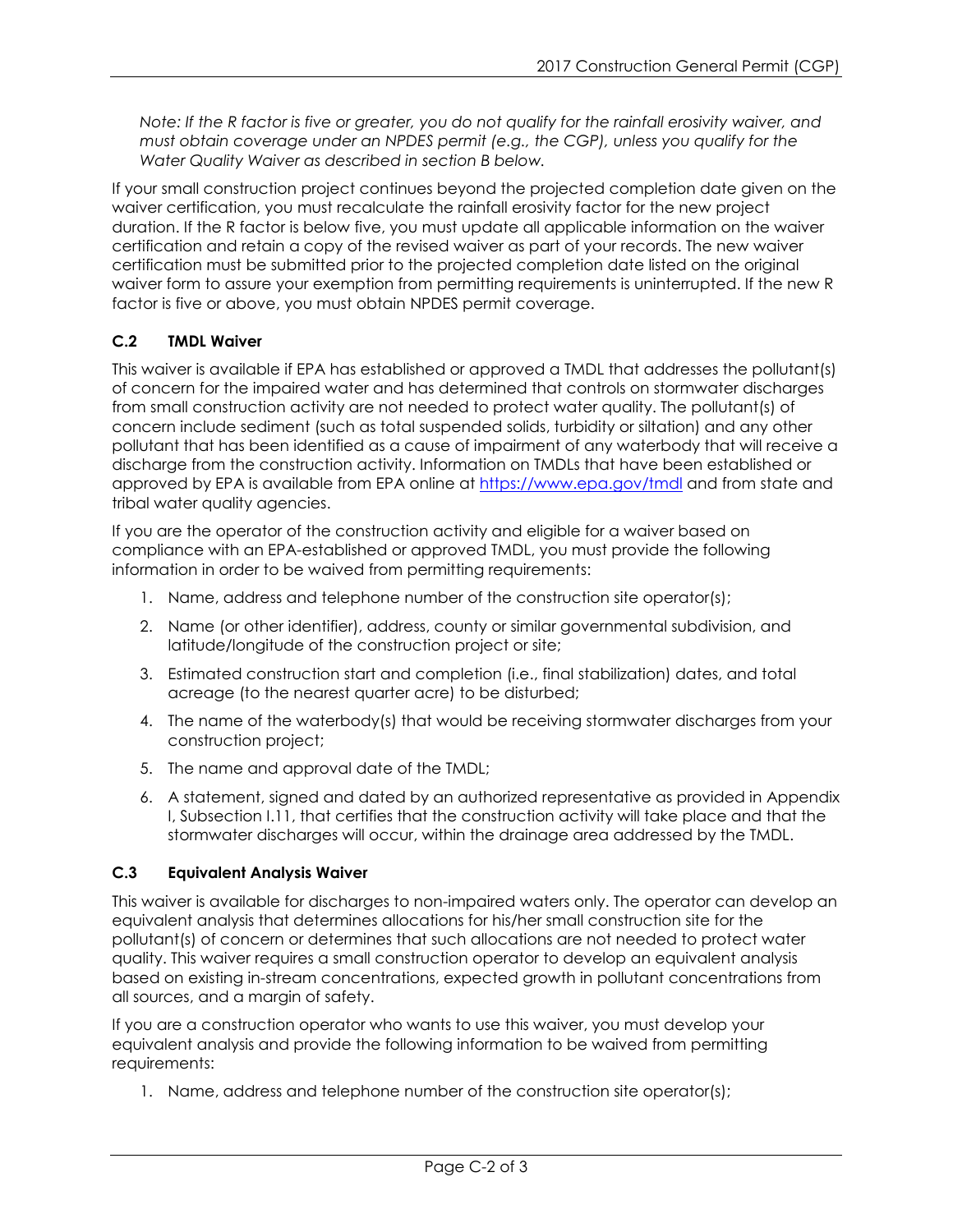*Note: If the R factor is five or greater, you do not qualify for the rainfall erosivity waiver, and must obtain coverage under an NPDES permit (e.g., the CGP), unless you qualify for the Water Quality Waiver as described in section B below.*

If your small construction project continues beyond the projected completion date given on the waiver certification, you must recalculate the rainfall erosivity factor for the new project duration. If the R factor is below five, you must update all applicable information on the waiver certification and retain a copy of the revised waiver as part of your records. The new waiver certification must be submitted prior to the projected completion date listed on the original waiver form to assure your exemption from permitting requirements is uninterrupted. If the new R factor is five or above, you must obtain NPDES permit coverage.

## **C.2 TMDL Waiver**

This waiver is available if EPA has established or approved a TMDL that addresses the pollutant(s) of concern for the impaired water and has determined that controls on stormwater discharges from small construction activity are not needed to protect water quality. The pollutant(s) of concern include sediment (such as total suspended solids, turbidity or siltation) and any other pollutant that has been identified as a cause of impairment of any waterbody that will receive a discharge from the construction activity. Information on TMDLs that have been established or approved by EPA is available from EPA online at<https://www.epa.gov/tmdl> and from state and tribal water quality agencies.

If you are the operator of the construction activity and eligible for a waiver based on compliance with an EPA-established or approved TMDL, you must provide the following information in order to be waived from permitting requirements:

- 1. Name, address and telephone number of the construction site operator(s);
- 2. Name (or other identifier), address, county or similar governmental subdivision, and latitude/longitude of the construction project or site;
- 3. Estimated construction start and completion (i.e., final stabilization) dates, and total acreage (to the nearest quarter acre) to be disturbed;
- 4. The name of the waterbody(s) that would be receiving stormwater discharges from your construction project;
- 5. The name and approval date of the TMDL;
- 6. A statement, signed and dated by an authorized representative as provided in Appendix I, Subsection I.11, that certifies that the construction activity will take place and that the stormwater discharges will occur, within the drainage area addressed by the TMDL.

## **C.3 Equivalent Analysis Waiver**

This waiver is available for discharges to non-impaired waters only. The operator can develop an equivalent analysis that determines allocations for his/her small construction site for the pollutant(s) of concern or determines that such allocations are not needed to protect water quality. This waiver requires a small construction operator to develop an equivalent analysis based on existing in-stream concentrations, expected growth in pollutant concentrations from all sources, and a margin of safety.

If you are a construction operator who wants to use this waiver, you must develop your equivalent analysis and provide the following information to be waived from permitting requirements:

1. Name, address and telephone number of the construction site operator(s);